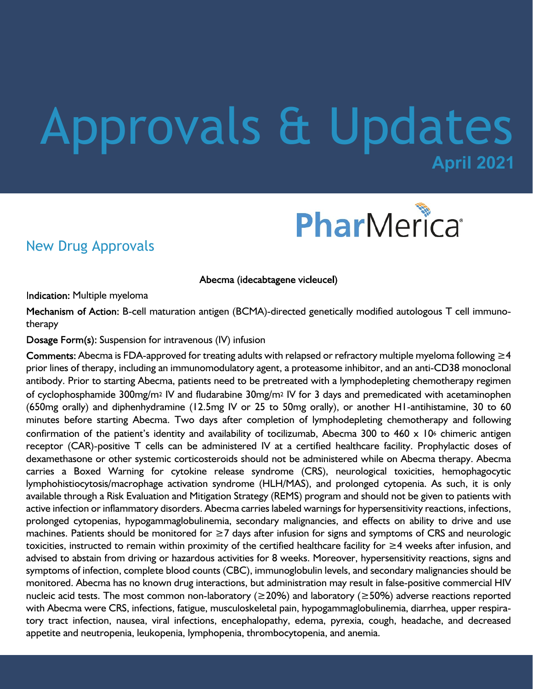# **April 2021** Approvals & Updates



### New Drug Approvals

Abecma (idecabtagene vicleucel)

Indication: Multiple myeloma

Mechanism of Action: B-cell maturation antigen (BCMA)-directed genetically modified autologous T cell immunotherapy

Dosage Form(s): Suspension for intravenous (IV) infusion

Comments: Abecma is FDA-approved for treating adults with relapsed or refractory multiple myeloma following  $\geq 4$ prior lines of therapy, including an immunomodulatory agent, a proteasome inhibitor, and an anti-CD38 monoclonal antibody. Prior to starting Abecma, patients need to be pretreated with a lymphodepleting chemotherapy regimen of cyclophosphamide 300mg/m2 IV and fludarabine 30mg/m2 IV for 3 days and premedicated with acetaminophen (650mg orally) and diphenhydramine (12.5mg IV or 25 to 50mg orally), or another H1-antihistamine, 30 to 60 minutes before starting Abecma. Two days after completion of lymphodepleting chemotherapy and following confirmation of the patient's identity and availability of tocilizumab, Abecma 300 to 460 x 10<sup>6</sup> chimeric antigen receptor (CAR)-positive T cells can be administered IV at a certified healthcare facility. Prophylactic doses of dexamethasone or other systemic corticosteroids should not be administered while on Abecma therapy. Abecma carries a Boxed Warning for cytokine release syndrome (CRS), neurological toxicities, hemophagocytic lymphohistiocytosis/macrophage activation syndrome (HLH/MAS), and prolonged cytopenia. As such, it is only available through a Risk Evaluation and Mitigation Strategy (REMS) program and should not be given to patients with active infection or inflammatory disorders. Abecma carries labeled warnings for hypersensitivity reactions, infections, prolonged cytopenias, hypogammaglobulinemia, secondary malignancies, and effects on ability to drive and use machines. Patients should be monitored for ≥7 days after infusion for signs and symptoms of CRS and neurologic toxicities, instructed to remain within proximity of the certified healthcare facility for ≥4 weeks after infusion, and advised to abstain from driving or hazardous activities for 8 weeks. Moreover, hypersensitivity reactions, signs and symptoms of infection, complete blood counts (CBC), immunoglobulin levels, and secondary malignancies should be monitored. Abecma has no known drug interactions, but administration may result in false-positive commercial HIV nucleic acid tests. The most common non-laboratory ( $\geq$ 20%) and laboratory ( $\geq$ 50%) adverse reactions reported with Abecma were CRS, infections, fatigue, musculoskeletal pain, hypogammaglobulinemia, diarrhea, upper respiratory tract infection, nausea, viral infections, encephalopathy, edema, pyrexia, cough, headache, and decreased appetite and neutropenia, leukopenia, lymphopenia, thrombocytopenia, and anemia.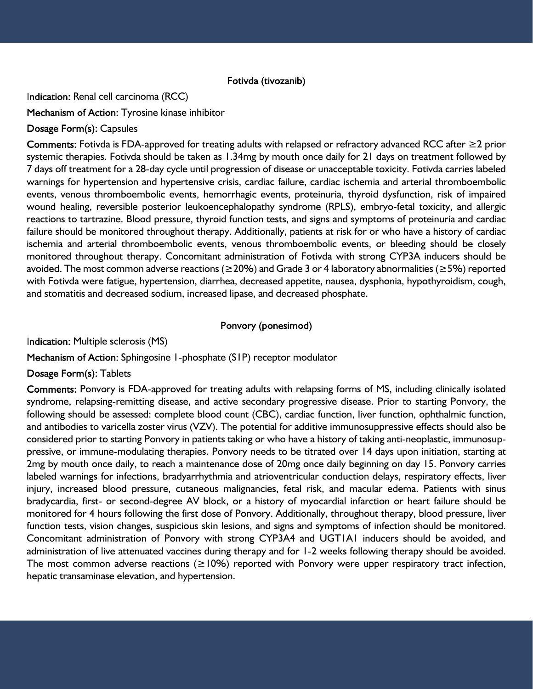#### Fotivda (tivozanib)

Indication: Renal cell carcinoma (RCC)

Mechanism of Action: Tyrosine kinase inhibitor

#### Dosage Form(s): Capsules

Comments: Fotivda is FDA-approved for treating adults with relapsed or refractory advanced RCC after  $\geq$ 2 prior systemic therapies. Fotivda should be taken as 1.34mg by mouth once daily for 21 days on treatment followed by 7 days off treatment for a 28-day cycle until progression of disease or unacceptable toxicity. Fotivda carries labeled warnings for hypertension and hypertensive crisis, cardiac failure, cardiac ischemia and arterial thromboembolic events, venous thromboembolic events, hemorrhagic events, proteinuria, thyroid dysfunction, risk of impaired wound healing, reversible posterior leukoencephalopathy syndrome (RPLS), embryo-fetal toxicity, and allergic reactions to tartrazine. Blood pressure, thyroid function tests, and signs and symptoms of proteinuria and cardiac failure should be monitored throughout therapy. Additionally, patients at risk for or who have a history of cardiac ischemia and arterial thromboembolic events, venous thromboembolic events, or bleeding should be closely monitored throughout therapy. Concomitant administration of Fotivda with strong CYP3A inducers should be avoided. The most common adverse reactions (≥20%) and Grade 3 or 4 laboratory abnormalities (≥5%) reported with Fotivda were fatigue, hypertension, diarrhea, decreased appetite, nausea, dysphonia, hypothyroidism, cough, and stomatitis and decreased sodium, increased lipase, and decreased phosphate.

#### Ponvory (ponesimod)

Indication: Multiple sclerosis (MS)

Mechanism of Action: Sphingosine 1-phosphate (S1P) receptor modulator

Dosage Form(s): Tablets

Comments: Ponvory is FDA-approved for treating adults with relapsing forms of MS, including clinically isolated syndrome, relapsing-remitting disease, and active secondary progressive disease. Prior to starting Ponvory, the following should be assessed: complete blood count (CBC), cardiac function, liver function, ophthalmic function, and antibodies to varicella zoster virus (VZV). The potential for additive immunosuppressive effects should also be considered prior to starting Ponvory in patients taking or who have a history of taking anti-neoplastic, immunosuppressive, or immune-modulating therapies. Ponvory needs to be titrated over 14 days upon initiation, starting at 2mg by mouth once daily, to reach a maintenance dose of 20mg once daily beginning on day 15. Ponvory carries labeled warnings for infections, bradyarrhythmia and atrioventricular conduction delays, respiratory effects, liver injury, increased blood pressure, cutaneous malignancies, fetal risk, and macular edema. Patients with sinus bradycardia, first- or second-degree AV block, or a history of myocardial infarction or heart failure should be monitored for 4 hours following the first dose of Ponvory. Additionally, throughout therapy, blood pressure, liver function tests, vision changes, suspicious skin lesions, and signs and symptoms of infection should be monitored. Concomitant administration of Ponvory with strong CYP3A4 and UGT1A1 inducers should be avoided, and administration of live attenuated vaccines during therapy and for 1-2 weeks following therapy should be avoided. The most common adverse reactions ( $\geq$ 10%) reported with Ponvory were upper respiratory tract infection, hepatic transaminase elevation, and hypertension.